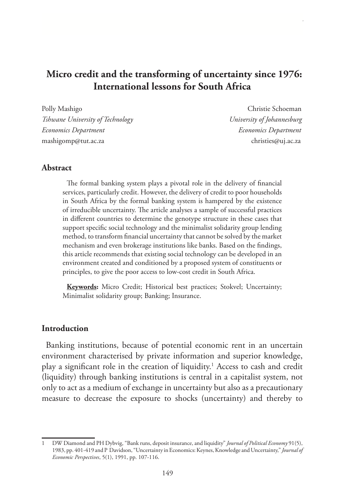# **Micro credit and the transforming of uncertainty since 1976: International lessons for South Africa**

Polly Mashigo Christie Schoeman *Tshwane University of Technology University of Johannesburg Economics Department Economics Department* mashigomp@tut.ac.za christies@uj.ac.za

### **Abstract**

The formal banking system plays a pivotal role in the delivery of financial services, particularly credit. However, the delivery of credit to poor households in South Africa by the formal banking system is hampered by the existence of irreducible uncertainty. The article analyses a sample of successful practices in different countries to determine the genotype structure in these cases that support specific social technology and the minimalist solidarity group lending method, to transform financial uncertainty that cannot be solved by the market mechanism and even brokerage institutions like banks. Based on the findings, this article recommends that existing social technology can be developed in an environment created and conditioned by a proposed system of constituents or principles, to give the poor access to low-cost credit in South Africa.

**Keywords:** Micro Credit; Historical best practices; Stokvel; Uncertainty; Minimalist solidarity group; Banking; Insurance.

### **Introduction**

Banking institutions, because of potential economic rent in an uncertain environment characterised by private information and superior knowledge, play a significant role in the creation of liquidity.1 Access to cash and credit (liquidity) through banking institutions is central in a capitalist system, not only to act as a medium of exchange in uncertainty but also as a precautionary measure to decrease the exposure to shocks (uncertainty) and thereby to

<sup>1</sup> DW Diamond and PH Dybvig, "Bank runs, deposit insurance, and liquidity" *Journal of Political Economy* 91(5), 1983, pp. 401-419 and P Davidson, "Uncertainty in Economics: Keynes, Knowledge and Uncertainty," *Journal of Economic Perspectives*, 5(1), 1991, pp. 107-116.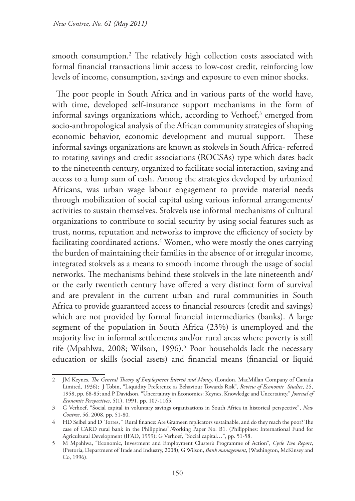smooth consumption.2 The relatively high collection costs associated with formal financial transactions limit access to low-cost credit, reinforcing low levels of income, consumption, savings and exposure to even minor shocks.

The poor people in South Africa and in various parts of the world have, with time, developed self-insurance support mechanisms in the form of informal savings organizations which, according to Verhoef, $3$  emerged from socio-anthropological analysis of the African community strategies of shaping economic behavior, economic development and mutual support. These informal savings organizations are known as stokvels in South Africa- referred to rotating savings and credit associations (ROCSAs) type which dates back to the nineteenth century, organized to facilitate social interaction, saving and access to a lump sum of cash. Among the strategies developed by urbanized Africans, was urban wage labour engagement to provide material needs through mobilization of social capital using various informal arrangements/ activities to sustain themselves. Stokvels use informal mechanisms of cultural organizations to contribute to social security by using social features such as trust, norms, reputation and networks to improve the efficiency of society by facilitating coordinated actions.4 Women, who were mostly the ones carrying the burden of maintaining their families in the absence of or irregular income, integrated stokvels as a means to smooth income through the usage of social networks. The mechanisms behind these stokvels in the late nineteenth and/ or the early twentieth century have offered a very distinct form of survival and are prevalent in the current urban and rural communities in South Africa to provide guaranteed access to financial resources (credit and savings) which are not provided by formal financial intermediaries (banks). A large segment of the population in South Africa (23%) is unemployed and the majority live in informal settlements and/or rural areas where poverty is still rife (Mpahlwa, 2008; Wilson, 1996).<sup>5</sup> Poor households lack the necessary education or skills (social assets) and financial means (financial or liquid

<sup>2</sup> JM Keynes, *The General Theory of Employment Interest and Money,* (London, MacMillan Company of Canada Limited, 1936); J Tobin, "Liquidity Preference as Behaviour Towards Risk", *Review of Economic Studies*, 25, 1958, pp. 68-85; and P Davidson, "Uncertainty in Economics: Keynes, Knowledge and Uncertainty," *Journal of Economic Perspectives*, 5(1), 1991, pp. 107-1165.

<sup>3</sup> G Verhoef, "Social capital in voluntary savings organizations in South Africa in historical perspective", *New Contree*, 56, 2008, pp. 51-80.

<sup>4</sup> HD Seibel and D Torres, " Rural finance: Are Grameen replicators sustainable, and do they reach the poor? The case of CARD rural bank in the Philippines",Working Paper No. B1. (Philippines: International Fund for Agricultural Development (IFAD, 1999); G Verhoef, "Social capital…", pp. 51-58.

<sup>5</sup> M Mpahlwa, "Economic, Investment and Employment Cluster's Programme of Action", *Cycle Two Report*, (Pretoria, Department of Trade and Industry, 2008); G Wilson, *Bank management*, (Washington, McKinsey and Co, 1996).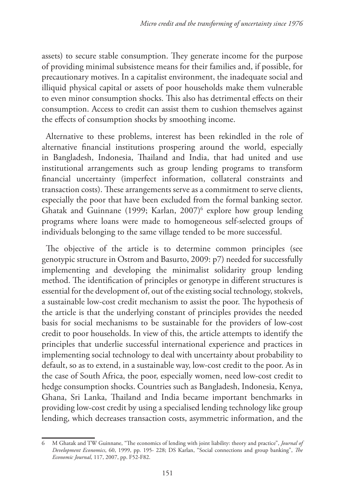assets) to secure stable consumption. They generate income for the purpose of providing minimal subsistence means for their families and, if possible, for precautionary motives. In a capitalist environment, the inadequate social and illiquid physical capital or assets of poor households make them vulnerable to even minor consumption shocks. This also has detrimental effects on their consumption. Access to credit can assist them to cushion themselves against the effects of consumption shocks by smoothing income.

Alternative to these problems, interest has been rekindled in the role of alternative financial institutions prospering around the world, especially in Bangladesh, Indonesia, Thailand and India, that had united and use institutional arrangements such as group lending programs to transform financial uncertainty (imperfect information, collateral constraints and transaction costs). These arrangements serve as a commitment to serve clients, especially the poor that have been excluded from the formal banking sector. Ghatak and Guinnane (1999; Karlan, 2007)<sup>6</sup> explore how group lending programs where loans were made to homogeneous self-selected groups of individuals belonging to the same village tended to be more successful.

The objective of the article is to determine common principles (see genotypic structure in Ostrom and Basurto, 2009: p7) needed for successfully implementing and developing the minimalist solidarity group lending method. The identification of principles or genotype in different structures is essential for the development of, out of the existing social technology, stokvels, a sustainable low-cost credit mechanism to assist the poor. The hypothesis of the article is that the underlying constant of principles provides the needed basis for social mechanisms to be sustainable for the providers of low-cost credit to poor households. In view of this, the article attempts to identify the principles that underlie successful international experience and practices in implementing social technology to deal with uncertainty about probability to default, so as to extend, in a sustainable way, low-cost credit to the poor. As in the case of South Africa, the poor, especially women, need low-cost credit to hedge consumption shocks. Countries such as Bangladesh, Indonesia, Kenya, Ghana, Sri Lanka, Thailand and India became important benchmarks in providing low-cost credit by using a specialised lending technology like group lending, which decreases transaction costs, asymmetric information, and the

<sup>6</sup> M Ghatak and TW Guinnane, "The economics of lending with joint liability: theory and practice", *Journal of Development Economics*, 60, 1999, pp. 195- 228; DS Karlan, "Social connections and group banking", *The Economic Journal*, 117, 2007, pp. F52-F82.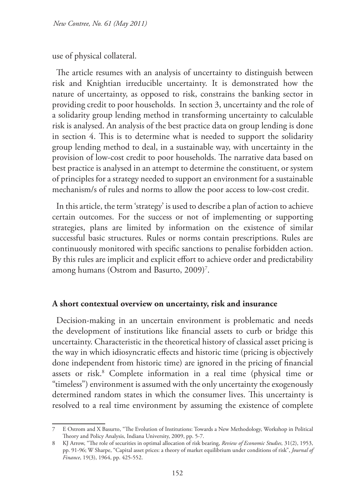use of physical collateral.

The article resumes with an analysis of uncertainty to distinguish between risk and Knightian irreducible uncertainty. It is demonstrated how the nature of uncertainty, as opposed to risk, constrains the banking sector in providing credit to poor households. In section 3, uncertainty and the role of a solidarity group lending method in transforming uncertainty to calculable risk is analysed. An analysis of the best practice data on group lending is done in section 4. This is to determine what is needed to support the solidarity group lending method to deal, in a sustainable way, with uncertainty in the provision of low-cost credit to poor households. The narrative data based on best practice is analysed in an attempt to determine the constituent, or system of principles for a strategy needed to support an environment for a sustainable mechanism/s of rules and norms to allow the poor access to low-cost credit.

In this article, the term 'strategy' is used to describe a plan of action to achieve certain outcomes. For the success or not of implementing or supporting strategies, plans are limited by information on the existence of similar successful basic structures. Rules or norms contain prescriptions. Rules are continuously monitored with specific sanctions to penalise forbidden action. By this rules are implicit and explicit effort to achieve order and predictability among humans (Ostrom and Basurto, 2009)<sup>7</sup>.

### **A short contextual overview on uncertainty, risk and insurance**

Decision-making in an uncertain environment is problematic and needs the development of institutions like financial assets to curb or bridge this uncertainty. Characteristic in the theoretical history of classical asset pricing is the way in which idiosyncratic effects and historic time (pricing is objectively done independent from historic time) are ignored in the pricing of financial assets or risk.<sup>8</sup> Complete information in a real time (physical time or "timeless") environment is assumed with the only uncertainty the exogenously determined random states in which the consumer lives. This uncertainty is resolved to a real time environment by assuming the existence of complete

<sup>7</sup> E Ostrom and X Basurto, "The Evolution of Institutions: Towards a New Methodology, Workshop in Political Theory and Policy Analysis, Indiana University, 2009, pp. 5-7.

<sup>8</sup> KJ Arrow, "The role of securities in optimal allocation of risk bearing, *Review of Economic Studies,* 31(2), 1953, pp. 91-96; W Sharpe, "Capital asset prices: a theory of market equilibrium under conditions of risk", *Journal of Finance*, 19(3), 1964, pp. 425-552.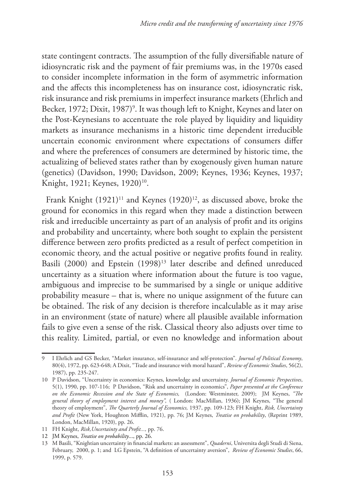state contingent contracts. The assumption of the fully diversifiable nature of idiosyncratic risk and the payment of fair premiums was, in the 1970s eased to consider incomplete information in the form of asymmetric information and the affects this incompleteness has on insurance cost, idiosyncratic risk, risk insurance and risk premiums in imperfect insurance markets (Ehrlich and Becker, 1972; Dixit, 1987)<sup>9</sup>. It was though left to Knight, Keynes and later on the Post-Keynesians to accentuate the role played by liquidity and liquidity markets as insurance mechanisms in a historic time dependent irreducible uncertain economic environment where expectations of consumers differ and where the preferences of consumers are determined by historic time, the actualizing of believed states rather than by exogenously given human nature (genetics) (Davidson, 1990; Davidson, 2009; Keynes, 1936; Keynes, 1937; Knight, 1921; Keynes, 1920)<sup>10</sup>.

Frank Knight (1921)<sup>11</sup> and Keynes (1920)<sup>12</sup>, as discussed above, broke the ground for economics in this regard when they made a distinction between risk and irreducible uncertainty as part of an analysis of profit and its origins and probability and uncertainty, where both sought to explain the persistent difference between zero profits predicted as a result of perfect competition in economic theory, and the actual positive or negative profits found in reality. Basili (2000) and Epstein (1998)<sup>13</sup> later describe and defined unreduced uncertainty as a situation where information about the future is too vague, ambiguous and imprecise to be summarised by a single or unique additive probability measure – that is, where no unique assignment of the future can be obtained. The risk of any decision is therefore incalculable as it may arise in an environment (state of nature) where all plausible available information fails to give even a sense of the risk. Classical theory also adjusts over time to this reality. Limited, partial, or even no knowledge and information about

<sup>9</sup> I Ehrlich and GS Becker, "Market insurance, self-insurance and self-protection". *Journal of Political Economy*, 80(4), 1972, pp. 623-648; A Dixit, "Trade and insurance with moral hazard", *Review of Economic Studies*, 56(2), 1987), pp. 235-247.

<sup>10</sup> P Davidson, "Uncertainty in economics: Keynes, knowledge and uncertainty. *Journal of Economic Perspectives*, 5(1), 1990, pp. 107-116; P Davidson, "Risk and uncertainty in economics", *Paper presented at the Conference on the Economic Recession and the State of Economics,* (London: Westminster, 2009); JM Keynes, *"The general theory of employment interest and money",* ( London: MacMillan, 1936); JM Keynes, "The general theory of employment", *The Quarterly Journal of Economics,* 1937, pp. 109-123; FH Knight, *Risk, Uncertainty and Profit* (New York, Houghton Mifflin, 1921), pp. 76; JM Keynes, *Treatise on probability*, (Reprint 1989, London, MacMillan, 1920), pp. 26.

<sup>11</sup> FH Knight, *Risk,Uncertainty and Profit...,* pp. 76.

<sup>12</sup> JM Keynes, *Treatise on probability*..., pp. 26.

<sup>13</sup> M Basili, "Knightian uncertainty in financial markets: an assessment", *Quaderni*, Universita degli Studi di Siena, February, 2000, p. 1; and LG Epstein, "A definition of uncertainty aversion", *Review of Economic Studies*, 66, 1999, p. 579.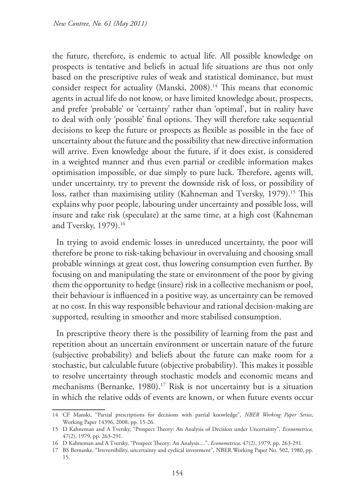the future, therefore, is endemic to actual life. All possible knowledge on prospects is tentative and beliefs in actual life situations are thus not only based on the prescriptive rules of weak and statistical dominance, but must consider respect for actuality (Manski, 2008).<sup>14</sup> This means that economic agents in actual life do not know, or have limited knowledge about, prospects, and prefer 'probable' or 'certainty' rather than 'optimal', but in reality have to deal with only 'possible' final options. They will therefore take sequential decisions to keep the future or prospects as flexible as possible in the face of uncertainty about the future and the possibility that new directive information will arrive. Even knowledge about the future, if it does exist, is considered in a weighted manner and thus even partial or credible information makes optimisation impossible, or due simply to pure luck. Therefore, agents will, under uncertainty, try to prevent the downside risk of loss, or possibility of loss, rather than maximising utility (Kahneman and Tversky, 1979).<sup>15</sup> This explains why poor people, labouring under uncertainty and possible loss, will insure and take risk (speculate) at the same time, at a high cost (Kahneman and Tversky, 1979).<sup>16</sup>

In trying to avoid endemic losses in unreduced uncertainty, the poor will therefore be prone to risk-taking behaviour in overvaluing and choosing small probable winnings at great cost, thus lowering consumption even further. By focusing on and manipulating the state or environment of the poor by giving them the opportunity to hedge (insure) risk in a collective mechanism or pool, their behaviour is influenced in a positive way, as uncertainty can be removed at no cost. In this way responsible behaviour and rational decision-making are supported, resulting in smoother and more stabilised consumption.

In prescriptive theory there is the possibility of learning from the past and repetition about an uncertain environment or uncertain nature of the future (subjective probability) and beliefs about the future can make room for a stochastic, but calculable future (objective probability). This makes it possible to resolve uncertainty through stochastic models and economic means and mechanisms (Bernanke, 1980).<sup>17</sup> Risk is not uncertainty but is a situation in which the relative odds of events are known, or when future events occur

<sup>14</sup> CF Manski, "Partial prescriptions for decisions with partial knowledge", *NBER Working Paper Series*, Working Paper 14396, 2008, pp. 15-26.

<sup>15</sup> D Kahneman and A Tversky, "Prospect Theory: An Analysis of Decision under Uncertainty", *Econometrica,* 47(2), 1979, pp. 263-291.

<sup>16</sup> D Kahneman and A Tversky, "Prospect Theory: An Analysis…", *Econometrica*, 47(2), 1979, pp. 263-291.

<sup>17</sup> BS Bernanke, "Irreversibility, uncertainty and cyclical investment", NBER Working Paper No. 502, 1980, pp. 15.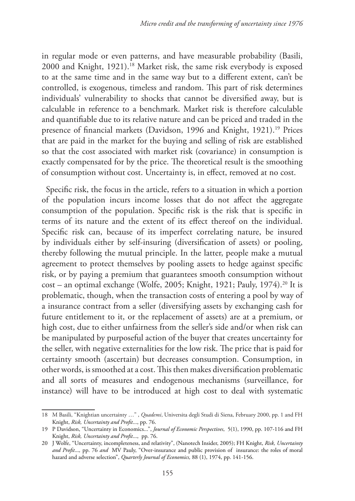in regular mode or even patterns, and have measurable probability (Basili, 2000 and Knight, 1921).18 Market risk, the same risk everybody is exposed to at the same time and in the same way but to a different extent, can't be controlled, is exogenous, timeless and random. This part of risk determines individuals' vulnerability to shocks that cannot be diversified away, but is calculable in reference to a benchmark. Market risk is therefore calculable and quantifiable due to its relative nature and can be priced and traded in the presence of financial markets (Davidson, 1996 and Knight, 1921).<sup>19</sup> Prices that are paid in the market for the buying and selling of risk are established so that the cost associated with market risk (covariance) in consumption is exactly compensated for by the price. The theoretical result is the smoothing of consumption without cost. Uncertainty is, in effect, removed at no cost.

Specific risk, the focus in the article, refers to a situation in which a portion of the population incurs income losses that do not affect the aggregate consumption of the population. Specific risk is the risk that is specific in terms of its nature and the extent of its effect thereof on the individual. Specific risk can, because of its imperfect correlating nature, be insured by individuals either by self-insuring (diversification of assets) or pooling, thereby following the mutual principle. In the latter, people make a mutual agreement to protect themselves by pooling assets to hedge against specific risk, or by paying a premium that guarantees smooth consumption without  $cost - an optimal exchange (Wolfe, 2005; Knight, 1921; Pauly, 1974).$ <sup>20</sup> It is problematic, though, when the transaction costs of entering a pool by way of a insurance contract from a seller (diversifying assets by exchanging cash for future entitlement to it, or the replacement of assets) are at a premium, or high cost, due to either unfairness from the seller's side and/or when risk can be manipulated by purposeful action of the buyer that creates uncertainty for the seller, with negative externalities for the low risk. The price that is paid for certainty smooth (ascertain) but decreases consumption. Consumption, in other words, is smoothed at a cost. This then makes diversification problematic and all sorts of measures and endogenous mechanisms (surveillance, for instance) will have to be introduced at high cost to deal with systematic

<sup>18</sup> M Basili, "Knightian uncertainty …" , *Quademi*, Universita degli Studi di Siena, February 2000, pp. 1 and FH Knight, *Risk, Uncertainty and Profit*..., pp. 76.

<sup>19</sup> P Davidson, "Uncertainty in Economics...", *Journal of Economic Perspectives*, 5(1), 1990, pp. 107-116 and FH Knight, *Risk, Uncertainty and Profit*..., pp. 76.

<sup>20</sup> J Wolfe, "Uncertainty, incompleteness, and relativity", (Nanotech Insider, 2005); FH Knight, *Risk, Uncertainty and Profit*...*,* pp. 76 *and* MV Pauly, "Over-insurance and public provision of insurance: the roles of moral hazard and adverse selection", *Quarterly Journal of Economics,* 88 (1), 1974, pp. 141-156.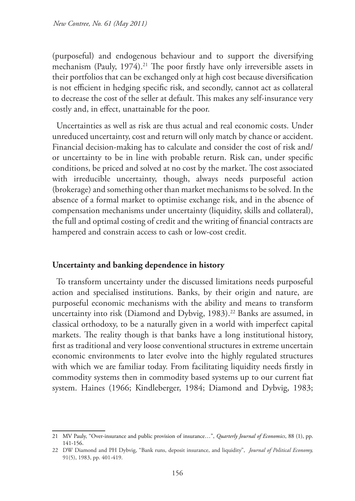(purposeful) and endogenous behaviour and to support the diversifying mechanism (Pauly, 1974).<sup>21</sup> The poor firstly have only irreversible assets in their portfolios that can be exchanged only at high cost because diversification is not efficient in hedging specific risk, and secondly, cannot act as collateral to decrease the cost of the seller at default. This makes any self-insurance very costly and, in effect, unattainable for the poor.

Uncertainties as well as risk are thus actual and real economic costs. Under unreduced uncertainty, cost and return will only match by chance or accident. Financial decision-making has to calculate and consider the cost of risk and/ or uncertainty to be in line with probable return. Risk can, under specific conditions, be priced and solved at no cost by the market. The cost associated with irreducible uncertainty, though, always needs purposeful action (brokerage) and something other than market mechanisms to be solved. In the absence of a formal market to optimise exchange risk, and in the absence of compensation mechanisms under uncertainty (liquidity, skills and collateral), the full and optimal costing of credit and the writing of financial contracts are hampered and constrain access to cash or low-cost credit.

### **Uncertainty and banking dependence in history**

To transform uncertainty under the discussed limitations needs purposeful action and specialised institutions. Banks, by their origin and nature, are purposeful economic mechanisms with the ability and means to transform uncertainty into risk (Diamond and Dybvig, 1983).<sup>22</sup> Banks are assumed, in classical orthodoxy, to be a naturally given in a world with imperfect capital markets. The reality though is that banks have a long institutional history, first as traditional and very loose conventional structures in extreme uncertain economic environments to later evolve into the highly regulated structures with which we are familiar today. From facilitating liquidity needs firstly in commodity systems then in commodity based systems up to our current fiat system. Haines (1966; Kindleberger, 1984; Diamond and Dybvig, 1983;

<sup>21</sup> MV Pauly, "Over-insurance and public provision of insurance…", *Quarterly Journal of Economics*, 88 (1), pp. 141-156.

<sup>22</sup> DW Diamond and PH Dybvig, "Bank runs, deposit insurance, and liquidity", *Journal of Political Economy,*  91(5), 1983, pp. 401-419.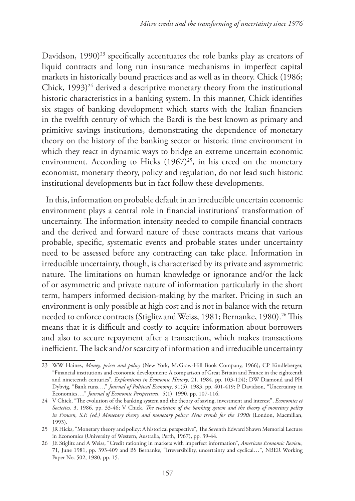Davidson,  $1990)^{23}$  specifically accentuates the role banks play as creators of liquid contracts and long run insurance mechanisms in imperfect capital markets in historically bound practices and as well as in theory. Chick (1986; Chick,  $1993)^{24}$  derived a descriptive monetary theory from the institutional historic characteristics in a banking system. In this manner, Chick identifies six stages of banking development which starts with the Italian financiers in the twelfth century of which the Bardi is the best known as primary and primitive savings institutions, demonstrating the dependence of monetary theory on the history of the banking sector or historic time environment in which they react in dynamic ways to bridge an extreme uncertain economic environment. According to Hicks  $(1967)^{25}$ , in his creed on the monetary economist, monetary theory, policy and regulation, do not lead such historic institutional developments but in fact follow these developments.

In this, information on probable default in an irreducible uncertain economic environment plays a central role in financial institutions' transformation of uncertainty. The information intensity needed to compile financial contracts and the derived and forward nature of these contracts means that various probable, specific, systematic events and probable states under uncertainty need to be assessed before any contracting can take place. Information in irreducible uncertainty, though, is characterised by its private and asymmetric nature. The limitations on human knowledge or ignorance and/or the lack of or asymmetric and private nature of information particularly in the short term, hampers informed decision-making by the market. Pricing in such an environment is only possible at high cost and is not in balance with the return needed to enforce contracts (Stiglitz and Weiss, 1981; Bernanke, 1980).<sup>26</sup> This means that it is difficult and costly to acquire information about borrowers and also to secure repayment after a transaction, which makes transactions inefficient. The lack and/or scarcity of information and irreducible uncertainty

<sup>23</sup> WW Haines, *Money, prices and policy* (New York, McGraw-Hill Book Company, 1966); CP Kindleberger, "Financial institutions and economic development: A comparison of Great Britain and France in the eighteenth and nineteenth centuries", *Explorations in Economic History*, 21, 1984, pp. 103-124); DW Diamond and PH Dybvig, "Bank runs…," *Journal of Political Economy*, 91(5), 1983, pp. 401-419; P Davidson, "Uncertainty in Economics…," *Journal of Economic Perspectives*, 5(1), 1990, pp. 107-116.

<sup>24</sup> V Chick, "The evolution of the banking system and the theory of saving, investment and interest", *Economies et Societies*, 3, 1986, pp. 33-46; V Chick, *The evolution of the banking system and the theory of monetary policy in Frowen, S.F. (ed.) Monetary theory and monetary policy: New trends for the 1990s* (London, Macmillan, 1993).

<sup>25</sup> JR Hicks, "Monetary theory and policy: A historical perspective", The Seventh Edward Shawn Memorial Lecture in Economics (University of Western, Australia, Perth, 1967), pp. 39-44.

<sup>26</sup> JE Stiglitz and A Weiss, "Credit rationing in markets with imperfect information", *American Economic Review*, 71, June 1981, pp. 393-409 and BS Bernanke, "Irreversibility, uncertainty and cyclical…", NBER Working Paper No. 502, 1980, pp. 15.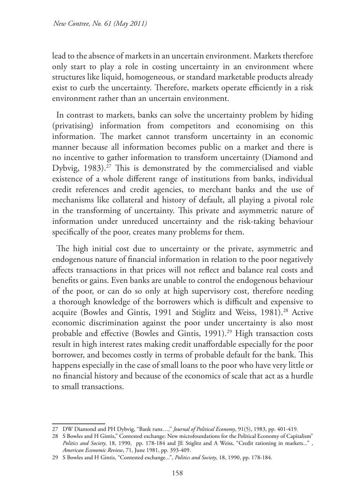lead to the absence of markets in an uncertain environment. Markets therefore only start to play a role in costing uncertainty in an environment where structures like liquid, homogeneous, or standard marketable products already exist to curb the uncertainty. Therefore, markets operate efficiently in a risk environment rather than an uncertain environment.

In contrast to markets, banks can solve the uncertainty problem by hiding (privatising) information from competitors and economising on this information. The market cannot transform uncertainty in an economic manner because all information becomes public on a market and there is no incentive to gather information to transform uncertainty (Diamond and Dybvig, 1983).<sup>27</sup> This is demonstrated by the commercialised and viable existence of a whole different range of institutions from banks, individual credit references and credit agencies, to merchant banks and the use of mechanisms like collateral and history of default, all playing a pivotal role in the transforming of uncertainty. This private and asymmetric nature of information under unreduced uncertainty and the risk-taking behaviour specifically of the poor, creates many problems for them.

The high initial cost due to uncertainty or the private, asymmetric and endogenous nature of financial information in relation to the poor negatively affects transactions in that prices will not reflect and balance real costs and benefits or gains. Even banks are unable to control the endogenous behaviour of the poor, or can do so only at high supervisory cost, therefore needing a thorough knowledge of the borrowers which is difficult and expensive to acquire (Bowles and Gintis, 1991 and Stiglitz and Weiss, 1981).<sup>28</sup> Active economic discrimination against the poor under uncertainty is also most probable and effective (Bowles and Gintis, 1991).<sup>29</sup> High transaction costs result in high interest rates making credit unaffordable especially for the poor borrower, and becomes costly in terms of probable default for the bank. This happens especially in the case of small loans to the poor who have very little or no financial history and because of the economics of scale that act as a hurdle to small transactions.

<sup>27</sup> DW Diamond and PH Dybvig, "Bank runs…," *Journal of Political Economy*, 91(5), 1983, pp. 401-419.

<sup>28</sup> S Bowles and H Gintis," Contested exchange: New microfoundations for the Political Economy of Capitalism" *Politics and Society*, 18, 1990, pp. 178-184 and JE Stiglitz and A Weiss, "Credit rationing in markets..." , *American Economic Review*, 71, June 1981, pp. 393-409.

<sup>29</sup> S Bowles and H Gintis, "Contested exchange...", *Politics and Society*, 18, 1990, pp. 178-184.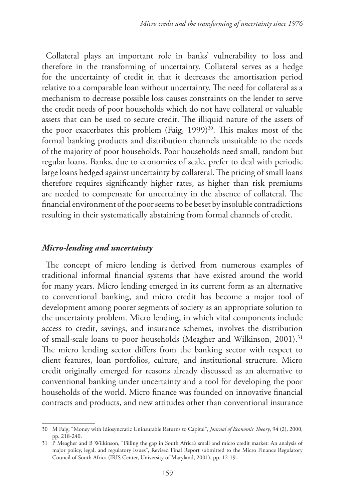Collateral plays an important role in banks' vulnerability to loss and therefore in the transforming of uncertainty. Collateral serves as a hedge for the uncertainty of credit in that it decreases the amortisation period relative to a comparable loan without uncertainty. The need for collateral as a mechanism to decrease possible loss causes constraints on the lender to serve the credit needs of poor households which do not have collateral or valuable assets that can be used to secure credit. The illiquid nature of the assets of the poor exacerbates this problem (Faig, 1999)<sup>30</sup>. This makes most of the formal banking products and distribution channels unsuitable to the needs of the majority of poor households. Poor households need small, random but regular loans. Banks, due to economies of scale, prefer to deal with periodic large loans hedged against uncertainty by collateral. The pricing of small loans therefore requires significantly higher rates, as higher than risk premiums are needed to compensate for uncertainty in the absence of collateral. The financial environment of the poor seems to be beset by insoluble contradictions resulting in their systematically abstaining from formal channels of credit.

## *Micro-lending and uncertainty*

The concept of micro lending is derived from numerous examples of traditional informal financial systems that have existed around the world for many years. Micro lending emerged in its current form as an alternative to conventional banking, and micro credit has become a major tool of development among poorer segments of society as an appropriate solution to the uncertainty problem. Micro lending, in which vital components include access to credit, savings, and insurance schemes, involves the distribution of small-scale loans to poor households (Meagher and Wilkinson, 2001).<sup>31</sup> The micro lending sector differs from the banking sector with respect to client features, loan portfolios, culture, and institutional structure. Micro credit originally emerged for reasons already discussed as an alternative to conventional banking under uncertainty and a tool for developing the poor households of the world. Micro finance was founded on innovative financial contracts and products, and new attitudes other than conventional insurance

<sup>30</sup> M Faig, "Money with Idiosyncratic Uninsurable Returns to Capital", *Journal of Economic Theory*, 94 (2), 2000, pp. 218-240.

<sup>31</sup> P Meagher and B Wilkinson, "Filling the gap in South Africa's small and micro credit market: An analysis of major policy, legal, and regulatory issues", Revised Final Report submitted to the Micro Finance Regulatory Council of South Africa (IRIS Center, University of Maryland, 2001), pp. 12-19.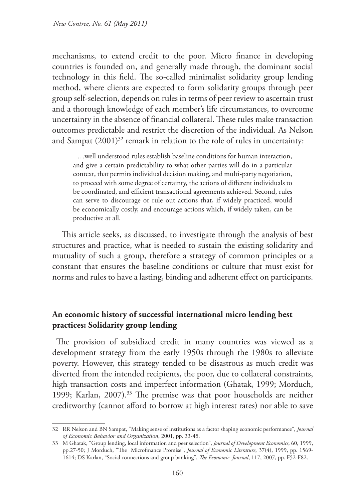mechanisms, to extend credit to the poor. Micro finance in developing countries is founded on, and generally made through, the dominant social technology in this field. The so-called minimalist solidarity group lending method, where clients are expected to form solidarity groups through peer group self-selection, depends on rules in terms of peer review to ascertain trust and a thorough knowledge of each member's life circumstances, to overcome uncertainty in the absence of financial collateral. These rules make transaction outcomes predictable and restrict the discretion of the individual. As Nelson and Sampat  $(2001)^{32}$  remark in relation to the role of rules in uncertainty:

…well understood rules establish baseline conditions for human interaction, and give a certain predictability to what other parties will do in a particular context, that permits individual decision making, and multi-party negotiation, to proceed with some degree of certainty, the actions of different individuals to be coordinated, and efficient transactional agreements achieved. Second, rules can serve to discourage or rule out actions that, if widely practiced, would be economically costly, and encourage actions which, if widely taken, can be productive at all.

 This article seeks, as discussed, to investigate through the analysis of best structures and practice, what is needed to sustain the existing solidarity and mutuality of such a group, therefore a strategy of common principles or a constant that ensures the baseline conditions or culture that must exist for norms and rules to have a lasting, binding and adherent effect on participants.

## **An economic history of successful international micro lending best practices: Solidarity group lending**

The provision of subsidized credit in many countries was viewed as a development strategy from the early 1950s through the 1980s to alleviate poverty. However, this strategy tended to be disastrous as much credit was diverted from the intended recipients, the poor, due to collateral constraints, high transaction costs and imperfect information (Ghatak, 1999; Morduch, 1999; Karlan, 2007).<sup>33</sup> The premise was that poor households are neither creditworthy (cannot afford to borrow at high interest rates) nor able to save

<sup>32</sup> RR Nelson and BN Sampat, "Making sense of institutions as a factor shaping economic performance", *Journal of Economic Behavior and Organization*, 2001, pp. 33-45.

<sup>33</sup> M Ghatak, "Group lending, local information and peer selection", *Journal of Development Economics*, 60, 1999, pp.27-50; J Morduch, "The Microfinance Promise", *Journal of Economic Literature*, 37(4), 1999, pp. 1569- 1614; DS Karlan, "Social connections and group banking", *The Economic Journal*, 117, 2007, pp. F52-F82.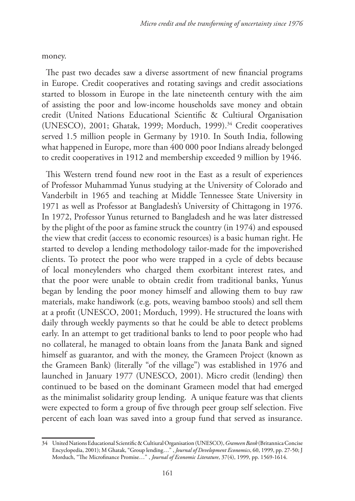money.

The past two decades saw a diverse assortment of new financial programs in Europe. Credit cooperatives and rotating savings and credit associations started to blossom in Europe in the late nineteenth century with the aim of assisting the poor and low-income households save money and obtain credit (United Nations Educational Scientific & Cultiural Organisation (UNESCO), 2001; Ghatak, 1999; Morduch, 1999).<sup>34</sup> Credit cooperatives served 1.5 million people in Germany by 1910. In South India, following what happened in Europe, more than 400 000 poor Indians already belonged to credit cooperatives in 1912 and membership exceeded 9 million by 1946.

This Western trend found new root in the East as a result of experiences of Professor Muhammad Yunus studying at the University of Colorado and Vanderbilt in 1965 and teaching at Middle Tennessee State University in 1971 as well as Professor at Bangladesh's University of Chittagong in 1976. In 1972, Professor Yunus returned to Bangladesh and he was later distressed by the plight of the poor as famine struck the country (in 1974) and espoused the view that credit (access to economic resources) is a basic human right. He started to develop a lending methodology tailor-made for the impoverished clients. To protect the poor who were trapped in a cycle of debts because of local moneylenders who charged them exorbitant interest rates, and that the poor were unable to obtain credit from traditional banks, Yunus began by lending the poor money himself and allowing them to buy raw materials, make handiwork (e.g. pots, weaving bamboo stools) and sell them at a profit (UNESCO, 2001; Morduch, 1999). He structured the loans with daily through weekly payments so that he could be able to detect problems early. In an attempt to get traditional banks to lend to poor people who had no collateral, he managed to obtain loans from the Janata Bank and signed himself as guarantor, and with the money, the Grameen Project (known as the Grameen Bank) (literally "of the village") was established in 1976 and launched in January 1977 (UNESCO, 2001). Micro credit (lending) then continued to be based on the dominant Grameen model that had emerged as the minimalist solidarity group lending. A unique feature was that clients were expected to form a group of five through peer group self selection. Five percent of each loan was saved into a group fund that served as insurance.

<sup>34</sup> United Nations Educational Scientific & Cultiural Organisation (UNESCO), *Grameen Bank* (Britannica Concise Encyclopedia, 2001); M Ghatak, "Group lending…" , *Journal of Development Economics*, 60, 1999, pp. 27-50; J Morduch, "The Microfinance Promise…" , *Journal of Economic Literature*, 37(4), 1999, pp. 1569-1614.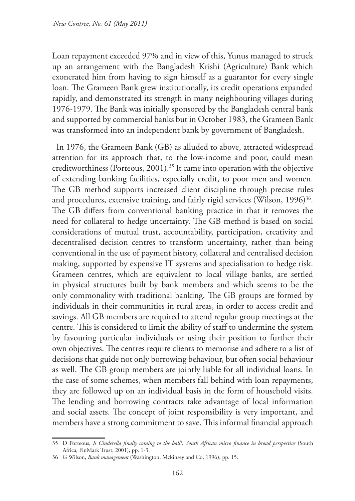Loan repayment exceeded 97% and in view of this, Yunus managed to struck up an arrangement with the Bangladesh Krishi (Agriculture) Bank which exonerated him from having to sign himself as a guarantor for every single loan. The Grameen Bank grew institutionally, its credit operations expanded rapidly, and demonstrated its strength in many neighbouring villages during 1976-1979. The Bank was initially sponsored by the Bangladesh central bank and supported by commercial banks but in October 1983, the Grameen Bank was transformed into an independent bank by government of Bangladesh.

In 1976, the Grameen Bank (GB) as alluded to above, attracted widespread attention for its approach that, to the low-income and poor, could mean creditworthiness (Porteous, 2001).<sup>35</sup> It came into operation with the objective of extending banking facilities, especially credit, to poor men and women. The GB method supports increased client discipline through precise rules and procedures, extensive training, and fairly rigid services (Wilson, 1996)<sup>36</sup>. The GB differs from conventional banking practice in that it removes the need for collateral to hedge uncertainty. The GB method is based on social considerations of mutual trust, accountability, participation, creativity and decentralised decision centres to transform uncertainty, rather than being conventional in the use of payment history, collateral and centralised decision making, supported by expensive IT systems and specialisation to hedge risk. Grameen centres, which are equivalent to local village banks, are settled in physical structures built by bank members and which seems to be the only commonality with traditional banking. The GB groups are formed by individuals in their communities in rural areas, in order to access credit and savings. All GB members are required to attend regular group meetings at the centre. This is considered to limit the ability of staff to undermine the system by favouring particular individuals or using their position to further their own objectives. The centres require clients to memorise and adhere to a list of decisions that guide not only borrowing behaviour, but often social behaviour as well. The GB group members are jointly liable for all individual loans. In the case of some schemes, when members fall behind with loan repayments, they are followed up on an individual basis in the form of household visits. The lending and borrowing contracts take advantage of local information and social assets. The concept of joint responsibility is very important, and members have a strong commitment to save. This informal financial approach

<sup>35</sup> D Porteous, *Is Cinderella finally coming to the ball?: South African micro finance in broad perspective* (South Africa, FinMark Trust, 2001), pp. 1-3.

<sup>36</sup> G Wilson, *Bank management* (Washington, Mckinsey and Co, 1996), pp. 15.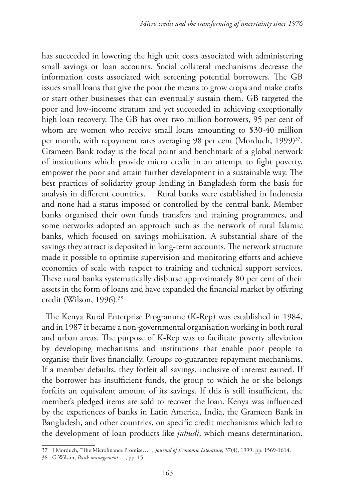has succeeded in lowering the high unit costs associated with administering small savings or loan accounts. Social collateral mechanisms decrease the information costs associated with screening potential borrowers. The GB issues small loans that give the poor the means to grow crops and make crafts or start other businesses that can eventually sustain them. GB targeted the poor and low-income stratum and yet succeeded in achieving exceptionally high loan recovery. The GB has over two million borrowers, 95 per cent of whom are women who receive small loans amounting to \$30-40 million per month, with repayment rates averaging 98 per cent (Morduch, 1999)<sup>37</sup>. Grameen Bank today is the focal point and benchmark of a global network of institutions which provide micro credit in an attempt to fight poverty, empower the poor and attain further development in a sustainable way. The best practices of solidarity group lending in Bangladesh form the basis for analysis in different countries. Rural banks were established in Indonesia and none had a status imposed or controlled by the central bank. Member banks organised their own funds transfers and training programmes, and some networks adopted an approach such as the network of rural Islamic banks, which focused on savings mobilisation. A substantial share of the savings they attract is deposited in long-term accounts. The network structure made it possible to optimise supervision and monitoring efforts and achieve economies of scale with respect to training and technical support services. These rural banks systematically disburse approximately 80 per cent of their assets in the form of loans and have expanded the financial market by offering credit (Wilson, 1996).38

The Kenya Rural Enterprise Programme (K-Rep) was established in 1984, and in 1987 it became a non-governmental organisation working in both rural and urban areas. The purpose of K-Rep was to facilitate poverty alleviation by developing mechanisms and institutions that enable poor people to organise their lives financially. Groups co-guarantee repayment mechanisms. If a member defaults, they forfeit all savings, inclusive of interest earned. If the borrower has insufficient funds, the group to which he or she belongs forfeits an equivalent amount of its savings. If this is still insufficient, the member's pledged items are sold to recover the loan. Kenya was influenced by the experiences of banks in Latin America, India, the Grameen Bank in Bangladesh, and other countries, on specific credit mechanisms which led to the development of loan products like *juhudi*, which means determination.

<sup>37</sup> J Morduch, "The Microfinance Promise…" , *Journal of Economic Literature*, 37(4), 1999, pp. 1569-1614.

<sup>38</sup> G Wilson, *Bank management …*, pp. 15.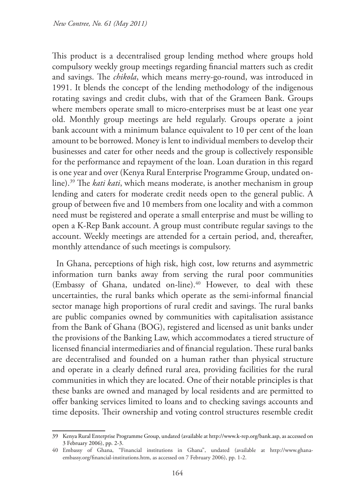This product is a decentralised group lending method where groups hold compulsory weekly group meetings regarding financial matters such as credit and savings. The *chikola*, which means merry-go-round, was introduced in 1991. It blends the concept of the lending methodology of the indigenous rotating savings and credit clubs, with that of the Grameen Bank. Groups where members operate small to micro-enterprises must be at least one year old. Monthly group meetings are held regularly. Groups operate a joint bank account with a minimum balance equivalent to 10 per cent of the loan amount to be borrowed. Money is lent to individual members to develop their businesses and cater for other needs and the group is collectively responsible for the performance and repayment of the loan. Loan duration in this regard is one year and over (Kenya Rural Enterprise Programme Group, undated online).39 The *kati kati*, which means moderate, is another mechanism in group lending and caters for moderate credit needs open to the general public. A group of between five and 10 members from one locality and with a common need must be registered and operate a small enterprise and must be willing to open a K-Rep Bank account. A group must contribute regular savings to the account. Weekly meetings are attended for a certain period, and, thereafter, monthly attendance of such meetings is compulsory.

In Ghana, perceptions of high risk, high cost, low returns and asymmetric information turn banks away from serving the rural poor communities (Embassy of Ghana, undated on-line).<sup>40</sup> However, to deal with these uncertainties, the rural banks which operate as the semi-informal financial sector manage high proportions of rural credit and savings. The rural banks are public companies owned by communities with capitalisation assistance from the Bank of Ghana (BOG), registered and licensed as unit banks under the provisions of the Banking Law, which accommodates a tiered structure of licensed financial intermediaries and of financial regulation. These rural banks are decentralised and founded on a human rather than physical structure and operate in a clearly defined rural area, providing facilities for the rural communities in which they are located. One of their notable principles is that these banks are owned and managed by local residents and are permitted to offer banking services limited to loans and to checking savings accounts and time deposits. Their ownership and voting control structures resemble credit

<sup>39</sup> Kenya Rural Enterprise Programme Group, undated (available at http://www.k-rep.org/bank.asp, as accessed on 3 February 2006), pp. 2-3.

<sup>40</sup> Embassy of Ghana, "Financial institutions in Ghana", undated (available at http://www.ghanaembassy.org/financial-institutions.htm, as accessed on 7 February 2006), pp. 1-2.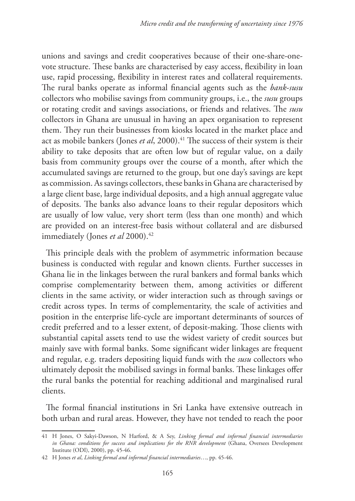unions and savings and credit cooperatives because of their one-share-onevote structure. These banks are characterised by easy access, flexibility in loan use, rapid processing, flexibility in interest rates and collateral requirements. The rural banks operate as informal financial agents such as the *bank*-*susu* collectors who mobilise savings from community groups, i.e., the *susu* groups or rotating credit and savings associations, or friends and relatives. The *susu*  collectors in Ghana are unusual in having an apex organisation to represent them. They run their businesses from kiosks located in the market place and act as mobile bankers (Jones *et al*, 2000).<sup>41</sup> The success of their system is their ability to take deposits that are often low but of regular value, on a daily basis from community groups over the course of a month, after which the accumulated savings are returned to the group, but one day's savings are kept as commission. As savings collectors, these banks in Ghana are characterised by a large client base, large individual deposits, and a high annual aggregate value of deposits. The banks also advance loans to their regular depositors which are usually of low value, very short term (less than one month) and which are provided on an interest-free basis without collateral and are disbursed immediately (Jones *et al* 2000).<sup>42</sup>

This principle deals with the problem of asymmetric information because business is conducted with regular and known clients. Further successes in Ghana lie in the linkages between the rural bankers and formal banks which comprise complementarity between them, among activities or different clients in the same activity, or wider interaction such as through savings or credit across types. In terms of complementarity, the scale of activities and position in the enterprise life-cycle are important determinants of sources of credit preferred and to a lesser extent, of deposit-making. Those clients with substantial capital assets tend to use the widest variety of credit sources but mainly save with formal banks. Some significant wider linkages are frequent and regular, e.g. traders depositing liquid funds with the *susu* collectors who ultimately deposit the mobilised savings in formal banks. These linkages offer the rural banks the potential for reaching additional and marginalised rural clients.

The formal financial institutions in Sri Lanka have extensive outreach in both urban and rural areas. However, they have not tended to reach the poor

<sup>41</sup> H Jones, O Sakyi-Dawson, N Harford, & A Sey, *Linking formal and informal financial intermediaries in Ghana: conditions for success and implications for the RNR development* (Ghana, Oversees Development Institute (ODI), 2000), pp. 45-46.

<sup>42</sup> H Jones *et al*, *Linking formal and informal financial intermediaries*…, pp. 45-46.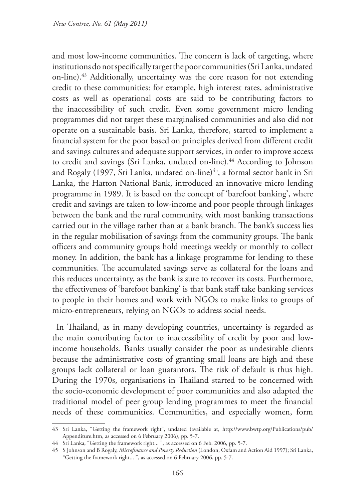and most low-income communities. The concern is lack of targeting, where institutions do not specifically target the poor communities (Sri Lanka, undated on-line).43 Additionally, uncertainty was the core reason for not extending credit to these communities: for example, high interest rates, administrative costs as well as operational costs are said to be contributing factors to the inaccessibility of such credit. Even some government micro lending programmes did not target these marginalised communities and also did not operate on a sustainable basis. Sri Lanka, therefore, started to implement a financial system for the poor based on principles derived from different credit and savings cultures and adequate support services, in order to improve access to credit and savings (Sri Lanka, undated on-line).<sup>44</sup> According to Johnson and Rogaly (1997, Sri Lanka, undated on-line)<sup>45</sup>, a formal sector bank in Sri Lanka, the Hatton National Bank, introduced an innovative micro lending programme in 1989. It is based on the concept of 'barefoot banking', where credit and savings are taken to low-income and poor people through linkages between the bank and the rural community, with most banking transactions carried out in the village rather than at a bank branch. The bank's success lies in the regular mobilisation of savings from the community groups. The bank officers and community groups hold meetings weekly or monthly to collect money. In addition, the bank has a linkage programme for lending to these communities. The accumulated savings serve as collateral for the loans and this reduces uncertainty, as the bank is sure to recover its costs. Furthermore, the effectiveness of 'barefoot banking' is that bank staff take banking services to people in their homes and work with NGOs to make links to groups of micro-entrepreneurs, relying on NGOs to address social needs.

In Thailand, as in many developing countries, uncertainty is regarded as the main contributing factor to inaccessibility of credit by poor and lowincome households. Banks usually consider the poor as undesirable clients because the administrative costs of granting small loans are high and these groups lack collateral or loan guarantors. The risk of default is thus high. During the 1970s, organisations in Thailand started to be concerned with the socio-economic development of poor communities and also adapted the traditional model of peer group lending programmes to meet the financial needs of these communities. Communities, and especially women, form

<sup>43</sup> Sri Lanka, "Getting the framework right", undated (available at, http://www.bwtp.org/Publications/pub/ Appenditure.htm, as accessed on 6 February 2006), pp. 5-7.

<sup>44</sup> Sri Lanka, "Getting the framework right... ", as accessed on 6 Feb. 2006, pp. 5-7.

<sup>45</sup> S Johnson and B Rogaly, *Microfinance and Poverty Reduction* (London, Oxfam and Action Aid 1997); Sri Lanka, "Getting the framework right... ", as accessed on 6 February 2006, pp. 5-7.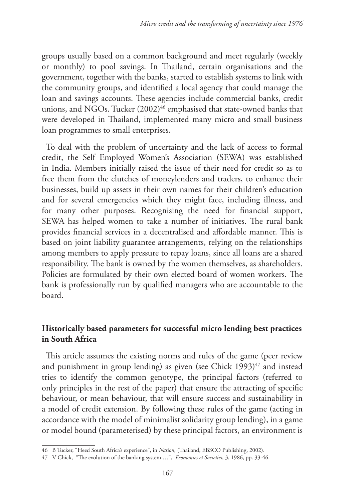groups usually based on a common background and meet regularly (weekly or monthly) to pool savings. In Thailand, certain organisations and the government, together with the banks, started to establish systems to link with the community groups, and identified a local agency that could manage the loan and savings accounts. These agencies include commercial banks, credit unions, and NGOs. Tucker (2002)<sup>46</sup> emphasised that state-owned banks that were developed in Thailand, implemented many micro and small business loan programmes to small enterprises.

To deal with the problem of uncertainty and the lack of access to formal credit, the Self Employed Women's Association (SEWA) was established in India. Members initially raised the issue of their need for credit so as to free them from the clutches of moneylenders and traders, to enhance their businesses, build up assets in their own names for their children's education and for several emergencies which they might face, including illness, and for many other purposes. Recognising the need for financial support, SEWA has helped women to take a number of initiatives. The rural bank provides financial services in a decentralised and affordable manner. This is based on joint liability guarantee arrangements, relying on the relationships among members to apply pressure to repay loans, since all loans are a shared responsibility. The bank is owned by the women themselves, as shareholders. Policies are formulated by their own elected board of women workers. The bank is professionally run by qualified managers who are accountable to the board.

## **Historically based parameters for successful micro lending best practices in South Africa**

This article assumes the existing norms and rules of the game (peer review and punishment in group lending) as given (see Chick  $1993)^{47}$  and instead tries to identify the common genotype, the principal factors (referred to only principles in the rest of the paper) that ensure the attracting of specific behaviour, or mean behaviour, that will ensure success and sustainability in a model of credit extension. By following these rules of the game (acting in accordance with the model of minimalist solidarity group lending), in a game or model bound (parameterised) by these principal factors, an environment is

<sup>46</sup> B Tucker, "Heed South Africa's experience", in *Nation*, (Thailand, EBSCO Publishing, 2002).

<sup>47</sup> V Chick, "The evolution of the banking system …", *Economies et Societies*, 3, 1986, pp. 33-46.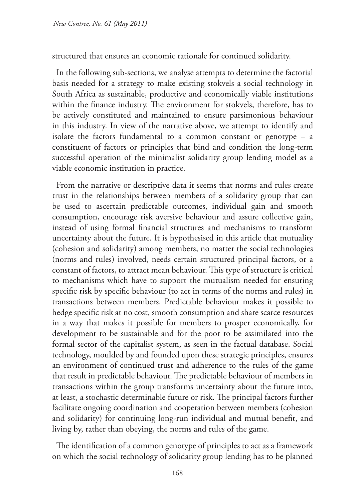structured that ensures an economic rationale for continued solidarity.

In the following sub-sections, we analyse attempts to determine the factorial basis needed for a strategy to make existing stokvels a social technology in South Africa as sustainable, productive and economically viable institutions within the finance industry. The environment for stokvels, therefore, has to be actively constituted and maintained to ensure parsimonious behaviour in this industry. In view of the narrative above, we attempt to identify and isolate the factors fundamental to a common constant or genotype – a constituent of factors or principles that bind and condition the long-term successful operation of the minimalist solidarity group lending model as a viable economic institution in practice.

From the narrative or descriptive data it seems that norms and rules create trust in the relationships between members of a solidarity group that can be used to ascertain predictable outcomes, individual gain and smooth consumption, encourage risk aversive behaviour and assure collective gain, instead of using formal financial structures and mechanisms to transform uncertainty about the future. It is hypothesised in this article that mutuality (cohesion and solidarity) among members, no matter the social technologies (norms and rules) involved, needs certain structured principal factors, or a constant of factors, to attract mean behaviour. This type of structure is critical to mechanisms which have to support the mutualism needed for ensuring specific risk by specific behaviour (to act in terms of the norms and rules) in transactions between members. Predictable behaviour makes it possible to hedge specific risk at no cost, smooth consumption and share scarce resources in a way that makes it possible for members to prosper economically, for development to be sustainable and for the poor to be assimilated into the formal sector of the capitalist system, as seen in the factual database. Social technology, moulded by and founded upon these strategic principles, ensures an environment of continued trust and adherence to the rules of the game that result in predictable behaviour. The predictable behaviour of members in transactions within the group transforms uncertainty about the future into, at least, a stochastic determinable future or risk. The principal factors further facilitate ongoing coordination and cooperation between members (cohesion and solidarity) for continuing long-run individual and mutual benefit, and living by, rather than obeying, the norms and rules of the game.

The identification of a common genotype of principles to act as a framework on which the social technology of solidarity group lending has to be planned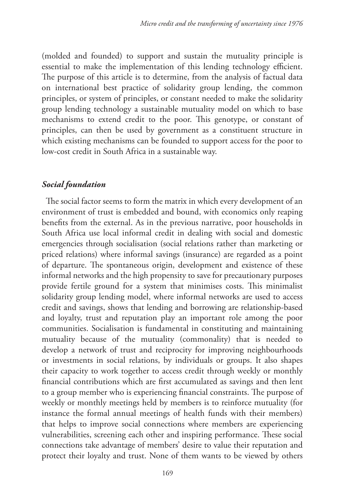(molded and founded) to support and sustain the mutuality principle is essential to make the implementation of this lending technology efficient. The purpose of this article is to determine, from the analysis of factual data on international best practice of solidarity group lending, the common principles, or system of principles, or constant needed to make the solidarity group lending technology a sustainable mutuality model on which to base mechanisms to extend credit to the poor. This genotype, or constant of principles, can then be used by government as a constituent structure in which existing mechanisms can be founded to support access for the poor to low-cost credit in South Africa in a sustainable way.

### *Social foundation*

The social factor seems to form the matrix in which every development of an environment of trust is embedded and bound, with economics only reaping benefits from the external. As in the previous narrative, poor households in South Africa use local informal credit in dealing with social and domestic emergencies through socialisation (social relations rather than marketing or priced relations) where informal savings (insurance) are regarded as a point of departure. The spontaneous origin, development and existence of these informal networks and the high propensity to save for precautionary purposes provide fertile ground for a system that minimises costs. This minimalist solidarity group lending model, where informal networks are used to access credit and savings, shows that lending and borrowing are relationship-based and loyalty, trust and reputation play an important role among the poor communities. Socialisation is fundamental in constituting and maintaining mutuality because of the mutuality (commonality) that is needed to develop a network of trust and reciprocity for improving neighbourhoods or investments in social relations, by individuals or groups. It also shapes their capacity to work together to access credit through weekly or monthly financial contributions which are first accumulated as savings and then lent to a group member who is experiencing financial constraints. The purpose of weekly or monthly meetings held by members is to reinforce mutuality (for instance the formal annual meetings of health funds with their members) that helps to improve social connections where members are experiencing vulnerabilities, screening each other and inspiring performance. These social connections take advantage of members' desire to value their reputation and protect their loyalty and trust. None of them wants to be viewed by others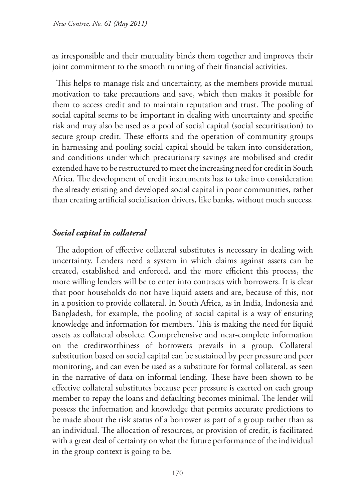as irresponsible and their mutuality binds them together and improves their joint commitment to the smooth running of their financial activities.

This helps to manage risk and uncertainty, as the members provide mutual motivation to take precautions and save, which then makes it possible for them to access credit and to maintain reputation and trust. The pooling of social capital seems to be important in dealing with uncertainty and specific risk and may also be used as a pool of social capital (social securitisation) to secure group credit. These efforts and the operation of community groups in harnessing and pooling social capital should be taken into consideration, and conditions under which precautionary savings are mobilised and credit extended have to be restructured to meet the increasing need for credit in South Africa. The development of credit instruments has to take into consideration the already existing and developed social capital in poor communities, rather than creating artificial socialisation drivers, like banks, without much success.

## *Social capital in collateral*

The adoption of effective collateral substitutes is necessary in dealing with uncertainty. Lenders need a system in which claims against assets can be created, established and enforced, and the more efficient this process, the more willing lenders will be to enter into contracts with borrowers. It is clear that poor households do not have liquid assets and are, because of this, not in a position to provide collateral. In South Africa, as in India, Indonesia and Bangladesh, for example, the pooling of social capital is a way of ensuring knowledge and information for members. This is making the need for liquid assets as collateral obsolete. Comprehensive and near-complete information on the creditworthiness of borrowers prevails in a group. Collateral substitution based on social capital can be sustained by peer pressure and peer monitoring, and can even be used as a substitute for formal collateral, as seen in the narrative of data on informal lending. These have been shown to be effective collateral substitutes because peer pressure is exerted on each group member to repay the loans and defaulting becomes minimal. The lender will possess the information and knowledge that permits accurate predictions to be made about the risk status of a borrower as part of a group rather than as an individual. The allocation of resources, or provision of credit, is facilitated with a great deal of certainty on what the future performance of the individual in the group context is going to be.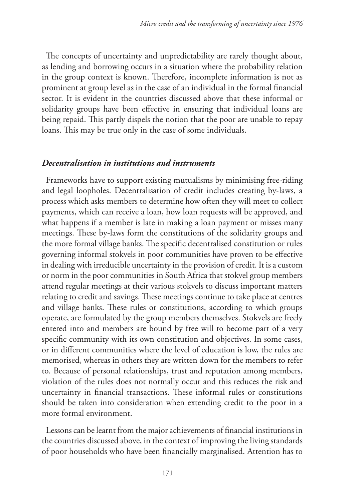The concepts of uncertainty and unpredictability are rarely thought about, as lending and borrowing occurs in a situation where the probability relation in the group context is known. Therefore, incomplete information is not as prominent at group level as in the case of an individual in the formal financial sector. It is evident in the countries discussed above that these informal or solidarity groups have been effective in ensuring that individual loans are being repaid. This partly dispels the notion that the poor are unable to repay loans. This may be true only in the case of some individuals.

### *Decentralisation in institutions and instruments*

Frameworks have to support existing mutualisms by minimising free-riding and legal loopholes. Decentralisation of credit includes creating by-laws, a process which asks members to determine how often they will meet to collect payments, which can receive a loan, how loan requests will be approved, and what happens if a member is late in making a loan payment or misses many meetings. These by-laws form the constitutions of the solidarity groups and the more formal village banks. The specific decentralised constitution or rules governing informal stokvels in poor communities have proven to be effective in dealing with irreducible uncertainty in the provision of credit. It is a custom or norm in the poor communities in South Africa that stokvel group members attend regular meetings at their various stokvels to discuss important matters relating to credit and savings. These meetings continue to take place at centres and village banks. These rules or constitutions, according to which groups operate, are formulated by the group members themselves. Stokvels are freely entered into and members are bound by free will to become part of a very specific community with its own constitution and objectives. In some cases, or in different communities where the level of education is low, the rules are memorised, whereas in others they are written down for the members to refer to. Because of personal relationships, trust and reputation among members, violation of the rules does not normally occur and this reduces the risk and uncertainty in financial transactions. These informal rules or constitutions should be taken into consideration when extending credit to the poor in a more formal environment.

Lessons can be learnt from the major achievements of financial institutions in the countries discussed above, in the context of improving the living standards of poor households who have been financially marginalised. Attention has to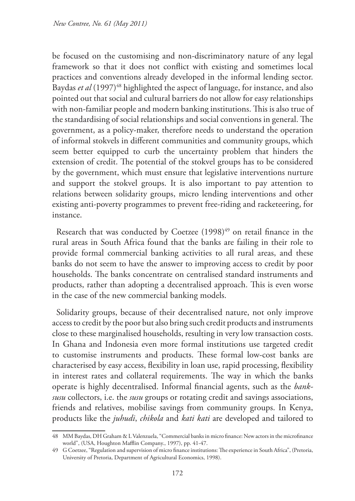be focused on the customising and non-discriminatory nature of any legal framework so that it does not conflict with existing and sometimes local practices and conventions already developed in the informal lending sector. Baydas *et al* (1997)<sup>48</sup> highlighted the aspect of language, for instance, and also pointed out that social and cultural barriers do not allow for easy relationships with non-familiar people and modern banking institutions. This is also true of the standardising of social relationships and social conventions in general. The government, as a policy-maker, therefore needs to understand the operation of informal stokvels in different communities and community groups, which seem better equipped to curb the uncertainty problem that hinders the extension of credit. The potential of the stokvel groups has to be considered by the government, which must ensure that legislative interventions nurture and support the stokvel groups. It is also important to pay attention to relations between solidarity groups, micro lending interventions and other existing anti-poverty programmes to prevent free-riding and racketeering, for instance.

Research that was conducted by Coetzee (1998)<sup>49</sup> on retail finance in the rural areas in South Africa found that the banks are failing in their role to provide formal commercial banking activities to all rural areas, and these banks do not seem to have the answer to improving access to credit by poor households. The banks concentrate on centralised standard instruments and products, rather than adopting a decentralised approach. This is even worse in the case of the new commercial banking models.

Solidarity groups, because of their decentralised nature, not only improve access to credit by the poor but also bring such credit products and instruments close to these marginalised households, resulting in very low transaction costs. In Ghana and Indonesia even more formal institutions use targeted credit to customise instruments and products. These formal low-cost banks are characterised by easy access, flexibility in loan use, rapid processing, flexibility in interest rates and collateral requirements. The way in which the banks operate is highly decentralised. Informal financial agents, such as the *banksusu* collectors, i.e. the *susu* groups or rotating credit and savings associations, friends and relatives, mobilise savings from community groups. In Kenya, products like the *juhudi*, *chikola* and *kati kati* are developed and tailored to

<sup>48</sup> MM Baydas, DH Graham & L Valenzuela, "Commercial banks in micro finance: New actors in the microfinance world", (USA, Houghton Mafflin Company., 1997), pp. 41-47.

<sup>49</sup> G Coetzee, "Regulation and supervision of micro finance institutions: The experience in South Africa", (Pretoria, University of Pretoria, Department of Agricultural Economics, 1998).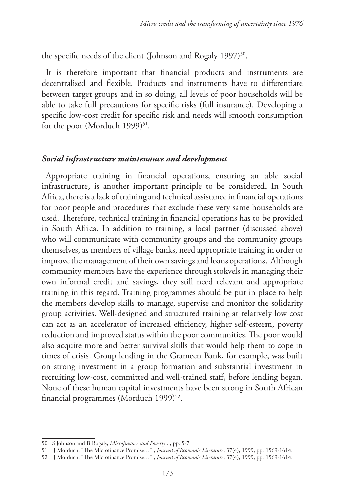the specific needs of the client (Johnson and Rogaly 1997)<sup>50</sup>.

It is therefore important that financial products and instruments are decentralised and flexible. Products and instruments have to differentiate between target groups and in so doing, all levels of poor households will be able to take full precautions for specific risks (full insurance). Developing a specific low-cost credit for specific risk and needs will smooth consumption for the poor (Morduch 1999) $51$ .

#### *Social infrastructure maintenance and development*

Appropriate training in financial operations, ensuring an able social infrastructure, is another important principle to be considered. In South Africa, there is a lack of training and technical assistance in financial operations for poor people and procedures that exclude these very same households are used. Therefore, technical training in financial operations has to be provided in South Africa. In addition to training, a local partner (discussed above) who will communicate with community groups and the community groups themselves, as members of village banks, need appropriate training in order to improve the management of their own savings and loans operations. Although community members have the experience through stokvels in managing their own informal credit and savings, they still need relevant and appropriate training in this regard. Training programmes should be put in place to help the members develop skills to manage, supervise and monitor the solidarity group activities. Well-designed and structured training at relatively low cost can act as an accelerator of increased efficiency, higher self-esteem, poverty reduction and improved status within the poor communities. The poor would also acquire more and better survival skills that would help them to cope in times of crisis. Group lending in the Grameen Bank, for example, was built on strong investment in a group formation and substantial investment in recruiting low-cost, committed and well-trained staff, before lending began. None of these human capital investments have been strong in South African financial programmes (Morduch 1999)<sup>52</sup>.

<sup>50</sup> S Johnson and B Rogaly, *Microfinance and Poverty*..., pp. 5-7.

<sup>51</sup> J Morduch, "The Microfinance Promise…" , *Journal of Economic Literature*, 37(4), 1999, pp. 1569-1614.

<sup>52</sup> J Morduch, "The Microfinance Promise…" , *Journal of Economic Literature*, 37(4), 1999, pp. 1569-1614.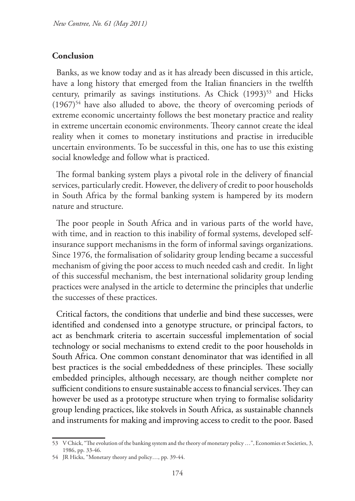### **Conclusion**

Banks, as we know today and as it has already been discussed in this article, have a long history that emerged from the Italian financiers in the twelfth century, primarily as savings institutions. As Chick (1993)<sup>53</sup> and Hicks  $(1967)^{54}$  have also alluded to above, the theory of overcoming periods of extreme economic uncertainty follows the best monetary practice and reality in extreme uncertain economic environments. Theory cannot create the ideal reality when it comes to monetary institutions and practise in irreducible uncertain environments. To be successful in this, one has to use this existing social knowledge and follow what is practiced.

The formal banking system plays a pivotal role in the delivery of financial services, particularly credit. However, the delivery of credit to poor households in South Africa by the formal banking system is hampered by its modern nature and structure.

The poor people in South Africa and in various parts of the world have, with time, and in reaction to this inability of formal systems, developed selfinsurance support mechanisms in the form of informal savings organizations. Since 1976, the formalisation of solidarity group lending became a successful mechanism of giving the poor access to much needed cash and credit. In light of this successful mechanism, the best international solidarity group lending practices were analysed in the article to determine the principles that underlie the successes of these practices.

Critical factors, the conditions that underlie and bind these successes, were identified and condensed into a genotype structure, or principal factors, to act as benchmark criteria to ascertain successful implementation of social technology or social mechanisms to extend credit to the poor households in South Africa. One common constant denominator that was identified in all best practices is the social embeddedness of these principles. These socially embedded principles, although necessary, are though neither complete nor sufficient conditions to ensure sustainable access to financial services. They can however be used as a prototype structure when trying to formalise solidarity group lending practices, like stokvels in South Africa, as sustainable channels and instruments for making and improving access to credit to the poor. Based

<sup>53</sup> V Chick, "The evolution of the banking system and the theory of monetary policy …", Economies et Societies, 3, 1986, pp. 33-46.

<sup>54</sup> JR Hicks, "Monetary theory and policy…, pp. 39-44.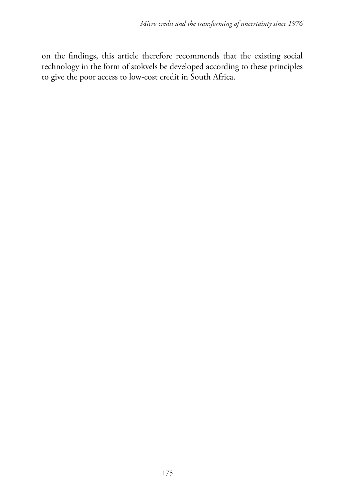on the findings, this article therefore recommends that the existing social technology in the form of stokvels be developed according to these principles to give the poor access to low-cost credit in South Africa.